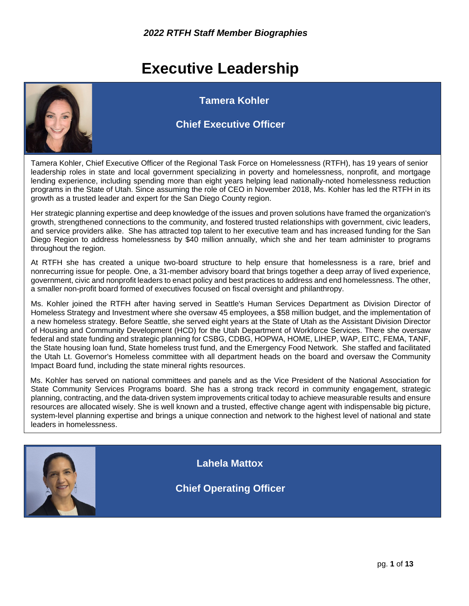## **Executive Leadership**



 **Tamera Kohler**

#### **Chief Executive Officer**

Tamera Kohler, Chief Executive Officer of the Regional Task Force on Homelessness (RTFH), has 19 years of senior leadership roles in state and local government specializing in poverty and homelessness, nonprofit, and mortgage lending experience, including spending more than eight years helping lead nationally-noted homelessness reduction programs in the State of Utah. Since assuming the role of CEO in November 2018, Ms. Kohler has led the RTFH in its growth as a trusted leader and expert for the San Diego County region.

Her strategic planning expertise and deep knowledge of the issues and proven solutions have framed the organization's growth, strengthened connections to the community, and fostered trusted relationships with government, civic leaders, and service providers alike. She has attracted top talent to her executive team and has increased funding for the San Diego Region to address homelessness by \$40 million annually, which she and her team administer to programs throughout the region.

At RTFH she has created a unique two-board structure to help ensure that homelessness is a rare, brief and nonrecurring issue for people. One, a 31-member advisory board that brings together a deep array of lived experience, government, civic and nonprofit leaders to enact policy and best practices to address and end homelessness. The other, a smaller non-profit board formed of executives focused on fiscal oversight and philanthropy.

Ms. Kohler joined the RTFH after having served in Seattle's Human Services Department as Division Director of Homeless Strategy and Investment where she oversaw 45 employees, a \$58 million budget, and the implementation of a new homeless strategy. Before Seattle, she served eight years at the State of Utah as the Assistant Division Director of Housing and Community Development (HCD) for the Utah Department of Workforce Services. There she oversaw federal and state funding and strategic planning for CSBG, CDBG, HOPWA, HOME, LIHEP, WAP, EITC, FEMA, TANF, the State housing loan fund, State homeless trust fund, and the Emergency Food Network. She staffed and facilitated the Utah Lt. Governor's Homeless committee with all department heads on the board and oversaw the Community Impact Board fund, including the state mineral rights resources.

Ms. Kohler has served on national committees and panels and as the Vice President of the National Association for State Community Services Programs board. She has a strong track record in community engagement, strategic planning, contracting, and the data-driven system improvements critical today to achieve measurable results and ensure resources are allocated wisely. She is well known and a trusted, effective change agent with indispensable big picture, system-level planning expertise and brings a unique connection and network to the highest level of national and state leaders in homelessness.



 **Lahela Mattox**

**Chief Operating Officer**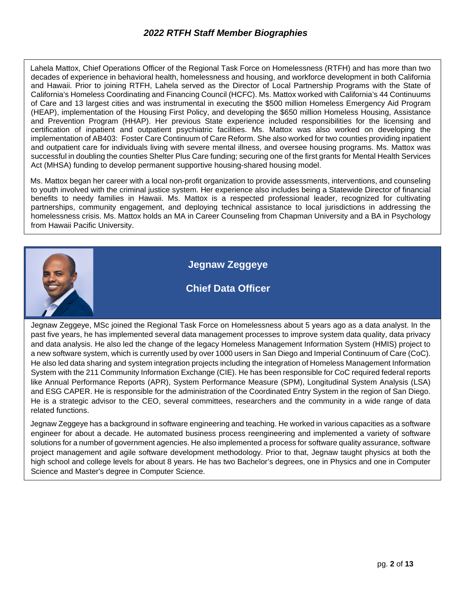Lahela Mattox, Chief Operations Officer of the Regional Task Force on Homelessness (RTFH) and has more than two decades of experience in behavioral health, homelessness and housing, and workforce development in both California and Hawaii. Prior to joining RTFH, Lahela served as the Director of Local Partnership Programs with the State of California's Homeless Coordinating and Financing Council (HCFC). Ms. Mattox worked with California's 44 Continuums of Care and 13 largest cities and was instrumental in executing the \$500 million Homeless Emergency Aid Program (HEAP), implementation of the Housing First Policy, and developing the \$650 million Homeless Housing, Assistance and Prevention Program (HHAP). Her previous State experience included responsibilities for the licensing and certification of inpatient and outpatient psychiatric facilities. Ms. Mattox was also worked on developing the implementation of AB403: Foster Care Continuum of Care Reform. She also worked for two counties providing inpatient and outpatient care for individuals living with severe mental illness, and oversee housing programs. Ms. Mattox was successful in doubling the counties Shelter Plus Care funding; securing one of the first grants for Mental Health Services Act (MHSA) funding to develop permanent supportive housing-shared housing model.

Ms. Mattox began her career with a local non-profit organization to provide assessments, interventions, and counseling to youth involved with the criminal justice system. Her experience also includes being a Statewide Director of financial benefits to needy families in Hawaii. Ms. Mattox is a respected professional leader, recognized for cultivating partnerships, community engagement, and deploying technical assistance to local jurisdictions in addressing the homelessness crisis. Ms. Mattox holds an MA in Career Counseling from Chapman University and a BA in Psychology from Hawaii Pacific University.



Jegnaw Zeggeye, MSc joined the Regional Task Force on Homelessness about 5 years ago as a data analyst. In the past five years, he has implemented several data management processes to improve system data quality, data privacy and data analysis. He also led the change of the legacy Homeless Management Information System (HMIS) project to a new software system, which is currently used by over 1000 users in San Diego and Imperial Continuum of Care (CoC). He also led data sharing and system integration projects including the integration of Homeless Management Information System with the 211 Community Information Exchange (CIE). He has been responsible for CoC required federal reports like Annual Performance Reports (APR), System Performance Measure (SPM), Longitudinal System Analysis (LSA) and ESG CAPER. He is responsible for the administration of the Coordinated Entry System in the region of San Diego. He is a strategic advisor to the CEO, several committees, researchers and the community in a wide range of data related functions.

Jegnaw Zeggeye has a background in software engineering and teaching. He worked in various capacities as a software engineer for about a decade. He automated business process reengineering and implemented a variety of software solutions for a number of government agencies. He also implemented a process for software quality assurance, software project management and agile software development methodology. Prior to that, Jegnaw taught physics at both the high school and college levels for about 8 years. He has two Bachelor's degrees, one in Physics and one in Computer Science and Master's degree in Computer Science.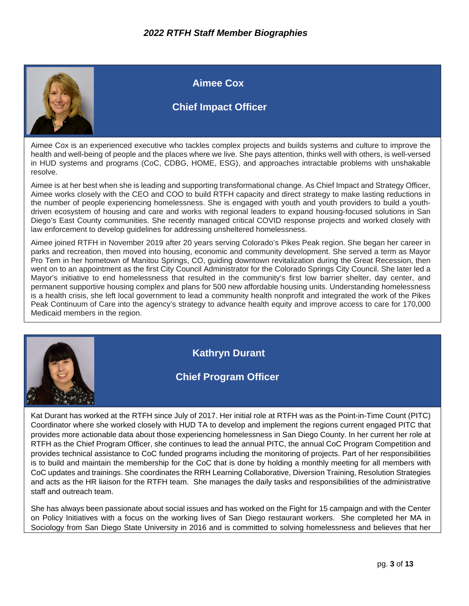

Aimee Cox is an experienced executive who tackles complex projects and builds systems and culture to improve the health and well-being of people and the places where we live. She pays attention, thinks well with others, is well-versed in HUD systems and programs (CoC, CDBG, HOME, ESG), and approaches intractable problems with unshakable resolve.

Aimee is at her best when she is leading and supporting transformational change. As Chief Impact and Strategy Officer, Aimee works closely with the CEO and COO to build RTFH capacity and direct strategy to make lasting reductions in the number of people experiencing homelessness. She is engaged with youth and youth providers to build a youthdriven ecosystem of housing and care and works with regional leaders to expand housing-focused solutions in San Diego's East County communities. She recently managed critical COVID response projects and worked closely with law enforcement to develop guidelines for addressing unsheltered homelessness.

Aimee joined RTFH in November 2019 after 20 years serving Colorado's Pikes Peak region. She began her career in parks and recreation, then moved into housing, economic and community development. She served a term as Mayor Pro Tem in her hometown of Manitou Springs, CO, guiding downtown revitalization during the Great Recession, then went on to an appointment as the first City Council Administrator for the Colorado Springs City Council. She later led a Mayor's initiative to end homelessness that resulted in the community's first low barrier shelter, day center, and permanent supportive housing complex and plans for 500 new affordable housing units. Understanding homelessness is a health crisis, she left local government to lead a community health nonprofit and integrated the work of the Pikes Peak Continuum of Care into the agency's strategy to advance health equity and improve access to care for 170,000 Medicaid members in the region.



**Kathryn Durant**

#### **Chief Program Officer**

Kat Durant has worked at the RTFH since July of 2017. Her initial role at RTFH was as the Point-in-Time Count (PITC) Coordinator where she worked closely with HUD TA to develop and implement the regions current engaged PITC that provides more actionable data about those experiencing homelessness in San Diego County. In her current her role at RTFH as the Chief Program Officer, she continues to lead the annual PITC, the annual CoC Program Competition and provides technical assistance to CoC funded programs including the monitoring of projects. Part of her responsibilities is to build and maintain the membership for the CoC that is done by holding a monthly meeting for all members with CoC updates and trainings. She coordinates the RRH Learning Collaborative, Diversion Training, Resolution Strategies and acts as the HR liaison for the RTFH team. She manages the daily tasks and responsibilities of the administrative staff and outreach team.

She has always been passionate about social issues and has worked on the Fight for 15 campaign and with the Center on Policy Initiatives with a focus on the working lives of San Diego restaurant workers. She completed her MA in Sociology from San Diego State University in 2016 and is committed to solving homelessness and believes that her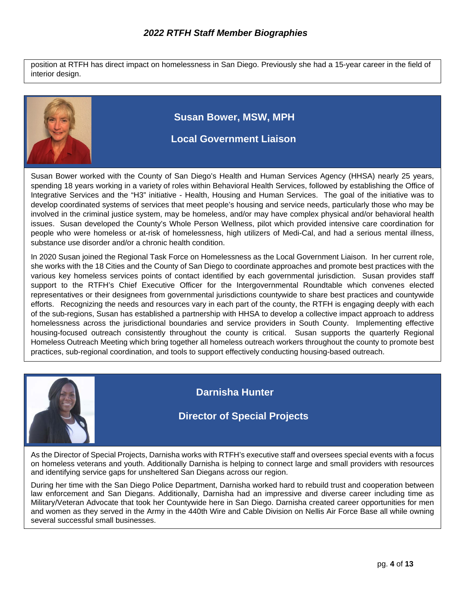position at RTFH has direct impact on homelessness in San Diego. Previously she had a 15-year career in the field of interior design.



Susan Bower worked with the County of San Diego's Health and Human Services Agency (HHSA) nearly 25 years, spending 18 years working in a variety of roles within Behavioral Health Services, followed by establishing the Office of Integrative Services and the "H3" initiative - Health, Housing and Human Services. The goal of the initiative was to develop coordinated systems of services that meet people's housing and service needs, particularly those who may be involved in the criminal justice system, may be homeless, and/or may have complex physical and/or behavioral health issues. Susan developed the County's Whole Person Wellness, pilot which provided intensive care coordination for people who were homeless or at-risk of homelessness, high utilizers of Medi-Cal, and had a serious mental illness, substance use disorder and/or a chronic health condition.

In 2020 Susan joined the Regional Task Force on Homelessness as the Local Government Liaison. In her current role, she works with the 18 Cities and the County of San Diego to coordinate approaches and promote best practices with the various key homeless services points of contact identified by each governmental jurisdiction. Susan provides staff support to the RTFH's Chief Executive Officer for the Intergovernmental Roundtable which convenes elected representatives or their designees from governmental jurisdictions countywide to share best practices and countywide efforts. Recognizing the needs and resources vary in each part of the county, the RTFH is engaging deeply with each of the sub-regions, Susan has established a partnership with HHSA to develop a collective impact approach to address homelessness across the jurisdictional boundaries and service providers in South County. Implementing effective housing-focused outreach consistently throughout the county is critical. Susan supports the quarterly Regional Homeless Outreach Meeting which bring together all homeless outreach workers throughout the county to promote best practices, sub-regional coordination, and tools to support effectively conducting housing-based outreach.



### **Darnisha Hunter**

#### **Director of Special Projects**

As the Director of Special Projects, Darnisha works with RTFH's executive staff and oversees special events with a focus on homeless veterans and youth. Additionally Darnisha is helping to connect large and small providers with resources and identifying service gaps for unsheltered San Diegans across our region.

During her time with the San Diego Police Department, Darnisha worked hard to rebuild trust and cooperation between law enforcement and San Diegans. Additionally, Darnisha had an impressive and diverse career including time as Military/Veteran Advocate that took her Countywide here in San Diego. Darnisha created career opportunities for men and women as they served in the Army in the 440th Wire and Cable Division on Nellis Air Force Base all while owning several successful small businesses.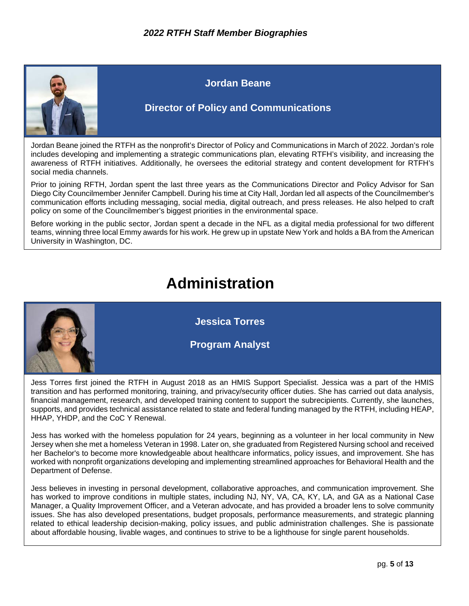

#### **Jordan Beane**

#### **Director of Policy and Communications**

Jordan Beane joined the RTFH as the nonprofit's Director of Policy and Communications in March of 2022. Jordan's role includes developing and implementing a strategic communications plan, elevating RTFH's visibility, and increasing the awareness of RTFH initiatives. Additionally, he oversees the editorial strategy and content development for RTFH's social media channels.

Prior to joining RFTH, Jordan spent the last three years as the Communications Director and Policy Advisor for San Diego City Councilmember Jennifer Campbell. During his time at City Hall, Jordan led all aspects of the Councilmember's communication efforts including messaging, social media, digital outreach, and press releases. He also helped to craft policy on some of the Councilmember's biggest priorities in the environmental space.

Before working in the public sector, Jordan spent a decade in the NFL as a digital media professional for two different teams, winning three local Emmy awards for his work. He grew up in upstate New York and holds a BA from the American University in Washington, DC.

# **Administration**



Jess Torres first joined the RTFH in August 2018 as an HMIS Support Specialist. Jessica was a part of the HMIS transition and has performed monitoring, training, and privacy/security officer duties. She has carried out data analysis, financial management, research, and developed training content to support the subrecipients. Currently, she launches, supports, and provides technical assistance related to state and federal funding managed by the RTFH, including HEAP, HHAP, YHDP, and the CoC Y Renewal.

Jess has worked with the homeless population for 24 years, beginning as a volunteer in her local community in New Jersey when she met a homeless Veteran in 1998. Later on, she graduated from Registered Nursing school and received her Bachelor's to become more knowledgeable about healthcare informatics, policy issues, and improvement. She has worked with nonprofit organizations developing and implementing streamlined approaches for Behavioral Health and the Department of Defense.

Jess believes in investing in personal development, collaborative approaches, and communication improvement. She has worked to improve conditions in multiple states, including NJ, NY, VA, CA, KY, LA, and GA as a National Case Manager, a Quality Improvement Officer, and a Veteran advocate, and has provided a broader lens to solve community issues. She has also developed presentations, budget proposals, performance measurements, and strategic planning related to ethical leadership decision-making, policy issues, and public administration challenges. She is passionate about affordable housing, livable wages, and continues to strive to be a lighthouse for single parent households.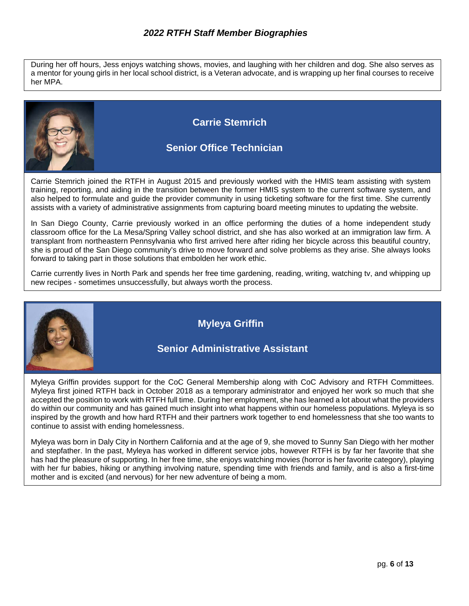During her off hours, Jess enjoys watching shows, movies, and laughing with her children and dog. She also serves as a mentor for young girls in her local school district, is a Veteran advocate, and is wrapping up her final courses to receive her MPA.



Carrie Stemrich joined the RTFH in August 2015 and previously worked with the HMIS team assisting with system training, reporting, and aiding in the transition between the former HMIS system to the current software system, and also helped to formulate and guide the provider community in using ticketing software for the first time. She currently assists with a variety of administrative assignments from capturing board meeting minutes to updating the website.

In San Diego County, Carrie previously worked in an office performing the duties of a home independent study classroom office for the La Mesa/Spring Valley school district, and she has also worked at an immigration law firm. A transplant from northeastern Pennsylvania who first arrived here after riding her bicycle across this beautiful country, she is proud of the San Diego community's drive to move forward and solve problems as they arise. She always looks forward to taking part in those solutions that embolden her work ethic.

Carrie currently lives in North Park and spends her free time gardening, reading, writing, watching tv, and whipping up new recipes - sometimes unsuccessfully, but always worth the process.



Myleya Griffin provides support for the CoC General Membership along with CoC Advisory and RTFH Committees. Myleya first joined RTFH back in October 2018 as a temporary administrator and enjoyed her work so much that she accepted the position to work with RTFH full time. During her employment, she has learned a lot about what the providers do within our community and has gained much insight into what happens within our homeless populations. Myleya is so inspired by the growth and how hard RTFH and their partners work together to end homelessness that she too wants to continue to assist with ending homelessness.

Myleya was born in Daly City in Northern California and at the age of 9, she moved to Sunny San Diego with her mother and stepfather. In the past, Myleya has worked in different service jobs, however RTFH is by far her favorite that she has had the pleasure of supporting. In her free time, she enjoys watching movies (horror is her favorite category), playing with her fur babies, hiking or anything involving nature, spending time with friends and family, and is also a first-time mother and is excited (and nervous) for her new adventure of being a mom.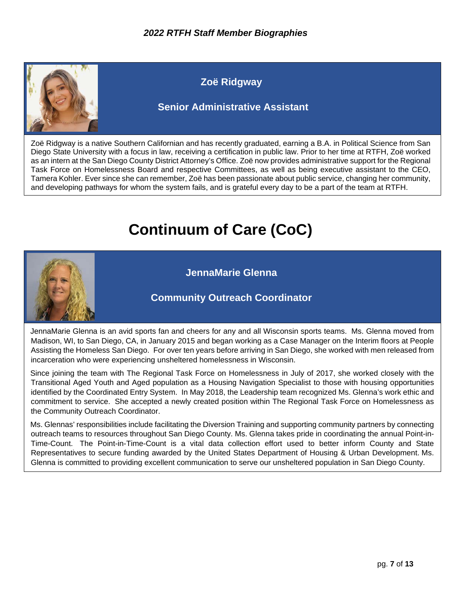

Zoë Ridgway is a native Southern Californian and has recently graduated, earning a B.A. in Political Science from San Diego State University with a focus in law, receiving a certification in public law. Prior to her time at RTFH, Zoë worked as an intern at the San Diego County District Attorney's Office. Zoë now provides administrative support for the Regional Task Force on Homelessness Board and respective Committees, as well as being executive assistant to the CEO, Tamera Kohler. Ever since she can remember, Zoë has been passionate about public service, changing her community, and developing pathways for whom the system fails, and is grateful every day to be a part of the team at RTFH.

## **Continuum of Care (CoC)**



**JennaMarie Glenna**

#### **Community Outreach Coordinator**

JennaMarie Glenna is an avid sports fan and cheers for any and all Wisconsin sports teams. Ms. Glenna moved from Madison, WI, to San Diego, CA, in January 2015 and began working as a Case Manager on the Interim floors at People Assisting the Homeless San Diego. For over ten years before arriving in San Diego, she worked with men released from incarceration who were experiencing unsheltered homelessness in Wisconsin.

Since joining the team with The Regional Task Force on Homelessness in July of 2017, she worked closely with the Transitional Aged Youth and Aged population as a Housing Navigation Specialist to those with housing opportunities identified by the Coordinated Entry System. In May 2018, the Leadership team recognized Ms. Glenna's work ethic and commitment to service. She accepted a newly created position within The Regional Task Force on Homelessness as the Community Outreach Coordinator.

Ms. Glennas' responsibilities include facilitating the Diversion Training and supporting community partners by connecting outreach teams to resources throughout San Diego County. Ms. Glenna takes pride in coordinating the annual Point-in-Time-Count. The Point-in-Time-Count is a vital data collection effort used to better inform County and State Representatives to secure funding awarded by the United States Department of Housing & Urban Development. Ms. Glenna is committed to providing excellent communication to serve our unsheltered population in San Diego County.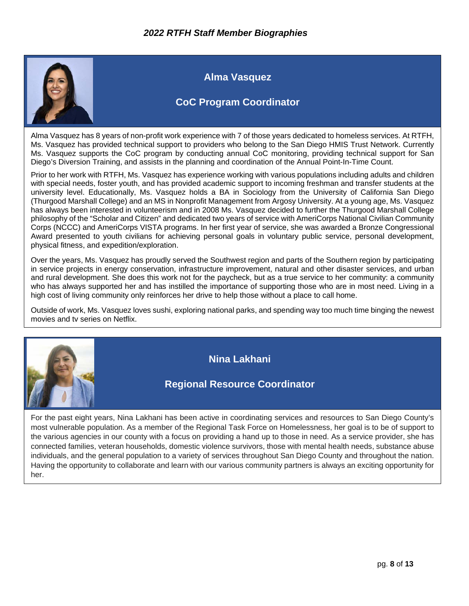

**Alma Vasquez**

#### **CoC Program Coordinator**

Alma Vasquez has 8 years of non-profit work experience with 7 of those years dedicated to homeless services. At RTFH, Ms. Vasquez has provided technical support to providers who belong to the San Diego HMIS Trust Network. Currently Ms. Vasquez supports the CoC program by conducting annual CoC monitoring, providing technical support for San Diego's Diversion Training, and assists in the planning and coordination of the Annual Point-In-Time Count.

Prior to her work with RTFH, Ms. Vasquez has experience working with various populations including adults and children with special needs, foster youth, and has provided academic support to incoming freshman and transfer students at the university level. Educationally, Ms. Vasquez holds a BA in Sociology from the University of California San Diego (Thurgood Marshall College) and an MS in Nonprofit Management from Argosy University. At a young age, Ms. Vasquez has always been interested in volunteerism and in 2008 Ms. Vasquez decided to further the Thurgood Marshall College philosophy of the "Scholar and Citizen" and dedicated two years of service with AmeriCorps National Civilian Community Corps (NCCC) and AmeriCorps VISTA programs. In her first year of service, she was awarded a Bronze Congressional Award presented to youth civilians for achieving personal goals in voluntary public service, personal development, physical fitness, and expedition/exploration.

Over the years, Ms. Vasquez has proudly served the Southwest region and parts of the Southern region by participating in service projects in energy conservation, infrastructure improvement, natural and other disaster services, and urban and rural development. She does this work not for the paycheck, but as a true service to her community: a community who has always supported her and has instilled the importance of supporting those who are in most need. Living in a high cost of living community only reinforces her drive to help those without a place to call home.

Outside of work, Ms. Vasquez loves sushi, exploring national parks, and spending way too much time binging the newest movies and tv series on Netflix.



**Nina Lakhani**

#### **Regional Resource Coordinator**

For the past eight years, Nina Lakhani has been active in coordinating services and resources to San Diego County's most vulnerable population. As a member of the Regional Task Force on Homelessness, her goal is to be of support to the various agencies in our county with a focus on providing a hand up to those in need. As a service provider, she has connected families, veteran households, domestic violence survivors, those with mental health needs, substance abuse individuals, and the general population to a variety of services throughout San Diego County and throughout the nation. Having the opportunity to collaborate and learn with our various community partners is always an exciting opportunity for her.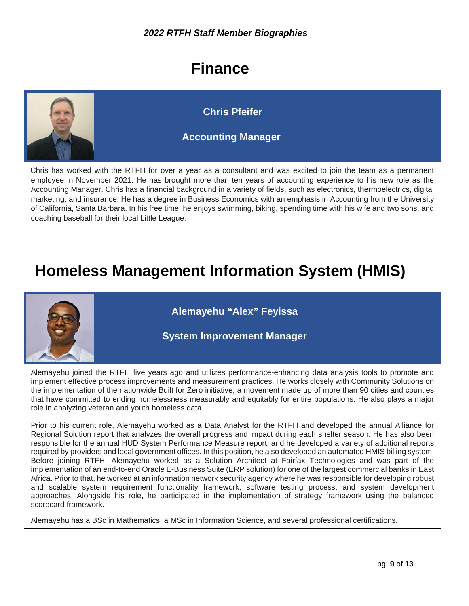# **Finance**



Chris has worked with the RTFH for over a year as a consultant and was excited to join the team as a permanent employee in November 2021. He has brought more than ten years of accounting experience to his new role as the Accounting Manager. Chris has a financial background in a variety of fields, such as electronics, thermoelectrics, digital marketing, and insurance. He has a degree in Business Economics with an emphasis in Accounting from the University of California, Santa Barbara. In his free time, he enjoys swimming, biking, spending time with his wife and two sons, and coaching baseball for their local Little League.

# **Homeless Management Information System (HMIS)**



**Alemayehu "Alex" Feyissa**

#### **System Improvement Manager**

Alemayehu joined the RTFH five years ago and utilizes performance-enhancing data analysis tools to promote and implement effective process improvements and measurement practices. He works closely with Community Solutions on the implementation of the nationwide Built for Zero initiative, a movement made up of more than 90 cities and counties that have committed to ending homelessness measurably and equitably for entire populations. He also plays a major role in analyzing veteran and youth homeless data.

Prior to his current role, Alemayehu worked as a Data Analyst for the RTFH and developed the annual Alliance for Regional Solution report that analyzes the overall progress and impact during each shelter season. He has also been responsible for the annual HUD System Performance Measure report, and he developed a variety of additional reports required by providers and local government offices. In this position, he also developed an automated HMIS billing system. Before joining RTFH, Alemayehu worked as a Solution Architect at Fairfax Technologies and was part of the implementation of an end-to-end Oracle E-Business Suite (ERP solution) for one of the largest commercial banks in East Africa. Prior to that, he worked at an information network security agency where he was responsible for developing robust and scalable system requirement functionality framework, software testing process, and system development approaches. Alongside his role, he participated in the implementation of strategy framework using the balanced scorecard framework.

Alemayehu has a BSc in Mathematics, a MSc in Information Science, and several professional certifications.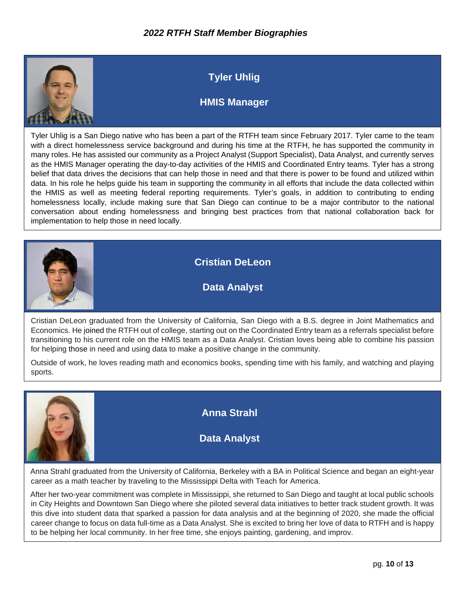

### **Tyler Uhlig**

### **HMIS Manager**

Tyler Uhlig is a San Diego native who has been a part of the RTFH team since February 2017. Tyler came to the team with a direct homelessness service background and during his time at the RTFH, he has supported the community in many roles. He has assisted our community as a Project Analyst (Support Specialist), Data Analyst, and currently serves as the HMIS Manager operating the day-to-day activities of the HMIS and Coordinated Entry teams. Tyler has a strong belief that data drives the decisions that can help those in need and that there is power to be found and utilized within data. In his role he helps guide his team in supporting the community in all efforts that include the data collected within the HMIS as well as meeting federal reporting requirements. Tyler's goals, in addition to contributing to ending homelessness locally, include making sure that San Diego can continue to be a major contributor to the national conversation about ending homelessness and bringing best practices from that national collaboration back for implementation to help those in need locally.



**Cristian DeLeon** 

**Data Analyst**

Cristian DeLeon graduated from the University of California, San Diego with a B.S. degree in Joint Mathematics and Economics. He joined the RTFH out of college, starting out on the Coordinated Entry team as a referrals specialist before transitioning to his current role on the HMIS team as a Data Analyst. Cristian loves being able to combine his passion for helping those in need and using data to make a positive change in the community.

Outside of work, he loves reading math and economics books, spending time with his family, and watching and playing sports.



**Anna Strahl**

**Data Analyst**

Anna Strahl graduated from the University of California, Berkeley with a BA in Political Science and began an eight-year career as a math teacher by traveling to the Mississippi Delta with Teach for America.

After her two-year commitment was complete in Mississippi, she returned to San Diego and taught at local public schools in City Heights and Downtown San Diego where she piloted several data initiatives to better track student growth. It was this dive into student data that sparked a passion for data analysis and at the beginning of 2020, she made the official career change to focus on data full-time as a Data Analyst. She is excited to bring her love of data to RTFH and is happy to be helping her local community. In her free time, she enjoys painting, gardening, and improv.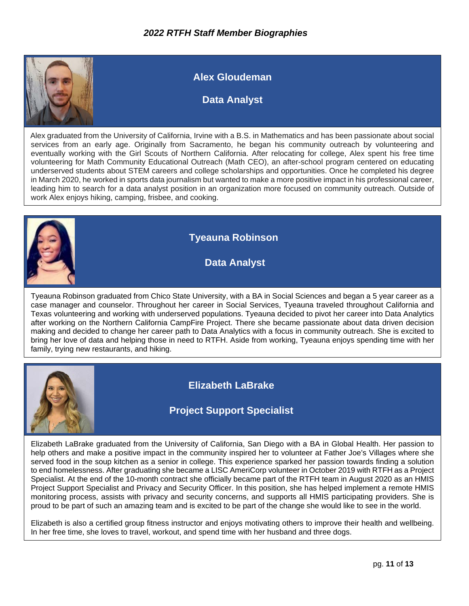

Alex graduated from the University of California, Irvine with a B.S. in Mathematics and has been passionate about social services from an early age. Originally from Sacramento, he began his community outreach by volunteering and eventually working with the Girl Scouts of Northern California. After relocating for college, Alex spent his free time volunteering for Math Community Educational Outreach (Math CEO), an after-school program centered on educating underserved students about STEM careers and college scholarships and opportunities. Once he completed his degree in March 2020, he worked in sports data journalism but wanted to make a more positive impact in his professional career, leading him to search for a data analyst position in an organization more focused on community outreach. Outside of work Alex enjoys hiking, camping, frisbee, and cooking.



### **Tyeauna Robinson**

**Data Analyst**

Tyeauna Robinson graduated from Chico State University, with a BA in Social Sciences and began a 5 year career as a case manager and counselor. Throughout her career in Social Services, Tyeauna traveled throughout California and Texas volunteering and working with underserved populations. Tyeauna decided to pivot her career into Data Analytics after working on the Northern California CampFire Project. There she became passionate about data driven decision making and decided to change her career path to Data Analytics with a focus in community outreach. She is excited to bring her love of data and helping those in need to RTFH. Aside from working, Tyeauna enjoys spending time with her family, trying new restaurants, and hiking.



**Elizabeth LaBrake** 

### **Project Support Specialist**

Elizabeth LaBrake graduated from the University of California, San Diego with a BA in Global Health. Her passion to help others and make a positive impact in the community inspired her to volunteer at Father Joe's Villages where she served food in the soup kitchen as a senior in college. This experience sparked her passion towards finding a solution to end homelessness. After graduating she became a LISC AmeriCorp volunteer in October 2019 with RTFH as a Project Specialist. At the end of the 10-month contract she officially became part of the RTFH team in August 2020 as an HMIS Project Support Specialist and Privacy and Security Officer. In this position, she has helped implement a remote HMIS monitoring process, assists with privacy and security concerns, and supports all HMIS participating providers. She is proud to be part of such an amazing team and is excited to be part of the change she would like to see in the world.

Elizabeth is also a certified group fitness instructor and enjoys motivating others to improve their health and wellbeing. In her free time, she loves to travel, workout, and spend time with her husband and three dogs.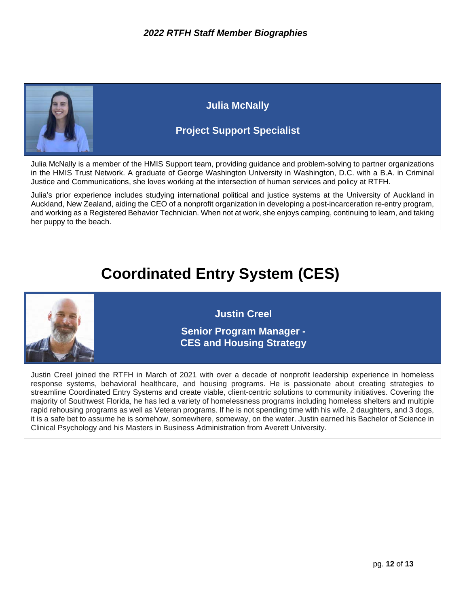

**Julia McNally**

### **Project Support Specialist**

Julia McNally is a member of the HMIS Support team, providing guidance and problem-solving to partner organizations in the HMIS Trust Network. A graduate of George Washington University in Washington, D.C. with a B.A. in Criminal Justice and Communications, she loves working at the intersection of human services and policy at RTFH.

Julia's prior experience includes studying international political and justice systems at the University of Auckland in Auckland, New Zealand, aiding the CEO of a nonprofit organization in developing a post-incarceration re-entry program, and working as a Registered Behavior Technician. When not at work, she enjoys camping, continuing to learn, and taking her puppy to the beach.

# **Coordinated Entry System (CES)**



**Justin Creel**

**Senior Program Manager - CES and Housing Strategy**

Justin Creel joined the RTFH in March of 2021 with over a decade of nonprofit leadership experience in homeless response systems, behavioral healthcare, and housing programs. He is passionate about creating strategies to streamline Coordinated Entry Systems and create viable, client-centric solutions to community initiatives. Covering the majority of Southwest Florida, he has led a variety of homelessness programs including homeless shelters and multiple rapid rehousing programs as well as Veteran programs. If he is not spending time with his wife, 2 daughters, and 3 dogs, it is a safe bet to assume he is somehow, somewhere, someway, on the water. Justin earned his Bachelor of Science in Clinical Psychology and his Masters in Business Administration from Averett University.